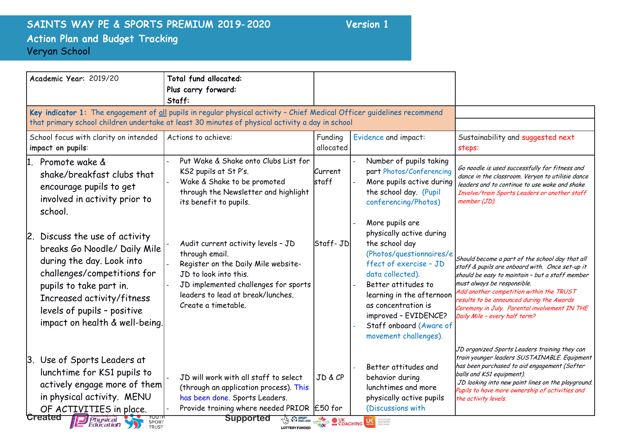## SAINTS WAY PE & SPORTS PREMIUM 2019-2020 Version 1 Action Plan and Budget Tracking Veryan School

| Key indicator 1: The engagement of all pupils in regular physical activity - Chief Medical Officer guidelines recommend<br>that primary school children undertake at least 30 minutes of physical activity a day in school |                                                                                                                                                                                    |                                                                                                                                                                                                                                                                                                |                                                                                                                                                                                                                                                                                                                                                                 |
|----------------------------------------------------------------------------------------------------------------------------------------------------------------------------------------------------------------------------|------------------------------------------------------------------------------------------------------------------------------------------------------------------------------------|------------------------------------------------------------------------------------------------------------------------------------------------------------------------------------------------------------------------------------------------------------------------------------------------|-----------------------------------------------------------------------------------------------------------------------------------------------------------------------------------------------------------------------------------------------------------------------------------------------------------------------------------------------------------------|
|                                                                                                                                                                                                                            |                                                                                                                                                                                    |                                                                                                                                                                                                                                                                                                |                                                                                                                                                                                                                                                                                                                                                                 |
| Actions to achieve:                                                                                                                                                                                                        | Funding<br>allocated                                                                                                                                                               | Evidence and impact:                                                                                                                                                                                                                                                                           | Sustainability and suggested next<br>steps:                                                                                                                                                                                                                                                                                                                     |
| Put Wake & Shake onto Clubs List for<br>KS2 pupils at St P's.<br>Wake & Shake to be promoted<br>through the Newsletter and highlight<br>its benefit to pupils.                                                             | Current<br> staff                                                                                                                                                                  | Number of pupils taking<br>part Photos/Conferencing<br>More pupils active during<br>the school day. (Pupil<br>conferencing/Photos)                                                                                                                                                             | Go noodle is used successfully for fitness and<br>dance in the classroom. Veryan to utilisie dance<br>leaders and to continue to use wake and shake<br>Involve/train Sports Leaders or another staff<br>member (JD).                                                                                                                                            |
| Audit current activity levels - JD<br>through email.<br>Register on the Daily Mile website-<br>JD to look into this.<br>leaders to lead at break/lunches.<br>Create a timetable.                                           |                                                                                                                                                                                    | More pupils are<br>physically active during<br>the school day<br>(Photos/questionnaires/e<br>ffect of exercise - JD<br>data collected).<br>Better attitudes to<br>learning in the afternoon<br>as concentration is<br>improved - EVIDENCE?<br>Staff onboard (Aware of<br>movement challenges). | Should become a part of the school day that all<br>staff & pupils are onboard with. Once set-up it<br>should be easy to maintain - but a staff member<br>must always be responsible.<br>Add another competition within the TRUST<br>results to be announced during the Awards<br>Ceremony in July. Parental involvement IN THE<br>Daily Mile - every half term? |
| JD will work with all staff to select<br>(through an application process). This<br>has been done. Sports Leaders.                                                                                                          | JD&CP                                                                                                                                                                              | Better attitudes and<br>behavior during<br>lunchtimes and more<br>physically active pupils<br>(Discussions with                                                                                                                                                                                | JD organized Sports Leaders training they can<br>train younger leaders SUSTAINABLE. Equipment<br>has been purchased to aid engagement (Softer<br>balls and KS1 equipment).<br>JD looking into new paint lines on the playground.<br>Pupils to have more ownership of activities and<br>the activity levels.                                                     |
|                                                                                                                                                                                                                            | breaks Go Noodle/ Daily Mile<br>impact on health & well-being.<br>actively engage more of them<br><b>Supported</b><br><b>Physical</b><br><b>Education</b><br><b>LOTTERY FUNDED</b> | JD implemented challenges for sports<br>Provide training where needed PRIOR E50 for                                                                                                                                                                                                            | Staff- JD<br><b>CALCULUS STATE OF STRANGE COACHING</b><br><b>LAS</b> More people                                                                                                                                                                                                                                                                                |

**by:**<br>**by:**<br>**by:**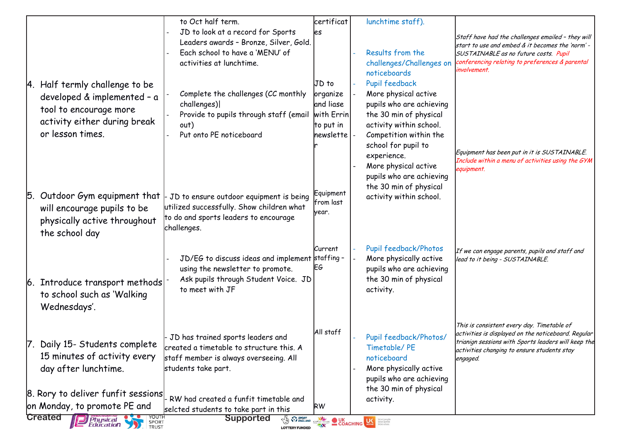|     |                                    | to Oct half term.                                         | certificat                     | lunchtime staff).                                                                                                                                                                                                                    |                                                                                                            |
|-----|------------------------------------|-----------------------------------------------------------|--------------------------------|--------------------------------------------------------------------------------------------------------------------------------------------------------------------------------------------------------------------------------------|------------------------------------------------------------------------------------------------------------|
|     |                                    | JD to look at a record for Sports                         | les                            |                                                                                                                                                                                                                                      |                                                                                                            |
|     |                                    | Leaders awards - Bronze, Silver, Gold.                    |                                |                                                                                                                                                                                                                                      | Staff have had the challenges emailed - they will<br>start to use and embed & it becomes the 'norm' -      |
|     |                                    | Each school to have a 'MENU' of                           |                                | Results from the                                                                                                                                                                                                                     | SUSTAINABLE as no future costs. Pupil                                                                      |
|     |                                    | activities at lunchtime.                                  |                                | challenges/Challenges on                                                                                                                                                                                                             | conferencing relating to preferences & parental                                                            |
|     |                                    |                                                           |                                | noticeboards                                                                                                                                                                                                                         | involvement.                                                                                               |
|     | 4. Half termly challenge to be     |                                                           | JD to                          | Pupil feedback                                                                                                                                                                                                                       |                                                                                                            |
|     | developed & implemented - a        | Complete the challenges (CC monthly                       | organize                       | More physical active                                                                                                                                                                                                                 |                                                                                                            |
|     |                                    | challenges)                                               | and liase                      | pupils who are achieving                                                                                                                                                                                                             |                                                                                                            |
|     | tool to encourage more             | Provide to pupils through staff (email                    | with Errin                     | the 30 min of physical                                                                                                                                                                                                               |                                                                                                            |
|     | activity either during break       | out)                                                      | to put in                      | activity within school.                                                                                                                                                                                                              |                                                                                                            |
|     | or lesson times.                   | Put onto PE noticeboard                                   | newslette                      | Competition within the                                                                                                                                                                                                               |                                                                                                            |
|     |                                    |                                                           |                                | school for pupil to                                                                                                                                                                                                                  |                                                                                                            |
|     |                                    |                                                           |                                | experience.                                                                                                                                                                                                                          | Equipment has been put in it is SUSTAINABLE.<br>Include within a menu of activities using the GYM          |
|     |                                    |                                                           |                                | More physical active                                                                                                                                                                                                                 | equipment.                                                                                                 |
|     |                                    |                                                           |                                | pupils who are achieving                                                                                                                                                                                                             |                                                                                                            |
|     |                                    |                                                           |                                | the 30 min of physical                                                                                                                                                                                                               |                                                                                                            |
|     | 5. Outdoor Gym equipment that      | JD to ensure outdoor equipment is being                   | <b>Equipment</b><br> from last | activity within school.                                                                                                                                                                                                              |                                                                                                            |
|     | will encourage pupils to be        | utilized successfully. Show children what                 | year.                          |                                                                                                                                                                                                                                      |                                                                                                            |
|     | physically active throughout       | to do and sports leaders to encourage                     |                                |                                                                                                                                                                                                                                      |                                                                                                            |
|     | the school day                     | challenges.                                               |                                |                                                                                                                                                                                                                                      |                                                                                                            |
|     |                                    |                                                           |                                |                                                                                                                                                                                                                                      |                                                                                                            |
|     |                                    |                                                           | Current                        | Pupil feedback/Photos                                                                                                                                                                                                                | If we can engage parents, pupils and staff and                                                             |
|     |                                    | JD/EG to discuss ideas and implement staffing -           | EG                             | More physically active                                                                                                                                                                                                               | lead to it being - SUSTAINABLE.                                                                            |
|     |                                    | using the newsletter to promote.                          |                                | pupils who are achieving                                                                                                                                                                                                             |                                                                                                            |
| 16. | Introduce transport methods        | Ask pupils through Student Voice. JD<br>to meet with JF   |                                | the 30 min of physical                                                                                                                                                                                                               |                                                                                                            |
|     | to school such as 'Walking         |                                                           |                                | activity.                                                                                                                                                                                                                            |                                                                                                            |
|     | Wednesdays'.                       |                                                           |                                |                                                                                                                                                                                                                                      |                                                                                                            |
|     |                                    |                                                           |                                |                                                                                                                                                                                                                                      |                                                                                                            |
|     |                                    |                                                           | All staff                      |                                                                                                                                                                                                                                      | This is consistent every day. Timetable of                                                                 |
|     |                                    | JD has trained sports leaders and                         |                                | Pupil feedback/Photos/                                                                                                                                                                                                               | activities is displayed on the noticeboard. Regular<br>trianign sessions with Sports leaders will keep the |
|     | Daily 15- Students complete        | created a timetable to structure this. A                  |                                | Timetable/PE                                                                                                                                                                                                                         | activities changing to ensure students stay                                                                |
|     | 15 minutes of activity every       | staff member is always overseeing. All                    |                                | noticeboard                                                                                                                                                                                                                          | engaged.                                                                                                   |
|     | day after lunchtime.               | students take part.                                       |                                | More physically active                                                                                                                                                                                                               |                                                                                                            |
|     |                                    |                                                           |                                | pupils who are achieving                                                                                                                                                                                                             |                                                                                                            |
|     | 8. Rory to deliver funfit sessions |                                                           |                                | the 30 min of physical                                                                                                                                                                                                               |                                                                                                            |
|     | on Monday, to promote PE and       | RW had created a funfit timetable and                     | <b>RW</b>                      | activity.                                                                                                                                                                                                                            |                                                                                                            |
|     | <b>Created</b>                     | selcted students to take part in this<br><b>Supported</b> |                                |                                                                                                                                                                                                                                      |                                                                                                            |
|     | <b>Physical</b><br>SPORT           |                                                           |                                | <b>THE REAL AND CONCHING COLOR DESCRIPTION OF A REAL PROPERTY OF A REAL PROPERTY OF A REAL PROPERTY OF A REAL PROPERTY OF A REAL PROPERTY OF A REAL PROPERTY OF A REAL PROPERTY OF A REAL PROPERTY OF A REAL PROPERTY OF A REAL </b> |                                                                                                            |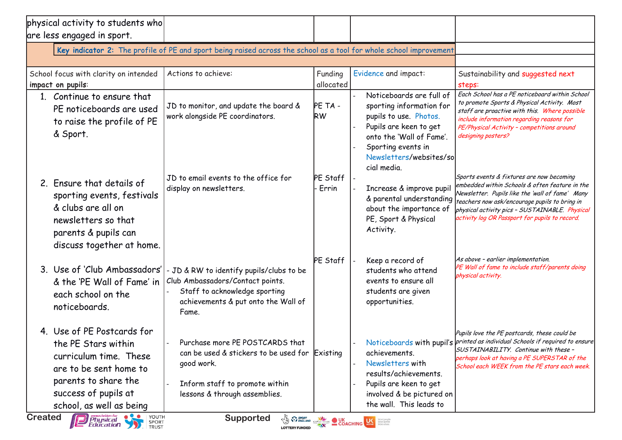| physical activity to students who<br>are less engaged in sport.                                                                                                                   |                                                                                                                                                                    |                      |                                                                                                                                                                                                      |                                                                                                                                                                                                                                                                                                              |
|-----------------------------------------------------------------------------------------------------------------------------------------------------------------------------------|--------------------------------------------------------------------------------------------------------------------------------------------------------------------|----------------------|------------------------------------------------------------------------------------------------------------------------------------------------------------------------------------------------------|--------------------------------------------------------------------------------------------------------------------------------------------------------------------------------------------------------------------------------------------------------------------------------------------------------------|
|                                                                                                                                                                                   | Key indicator 2: The profile of PE and sport being raised across the school as a tool for whole school improvement                                                 |                      |                                                                                                                                                                                                      |                                                                                                                                                                                                                                                                                                              |
| School focus with clarity on intended<br>impact on pupils:                                                                                                                        | Actions to achieve:                                                                                                                                                | Funding<br>allocated | Evidence and impact:                                                                                                                                                                                 | Sustainability and suggested next<br>steps:                                                                                                                                                                                                                                                                  |
| 1. Continue to ensure that<br>PE noticeboards are used<br>to raise the profile of PE<br>& Sport.                                                                                  | JD to monitor, and update the board &<br>work alongside PE coordinators.                                                                                           | PE TA -<br><b>RW</b> | Noticeboards are full of<br>sporting information for<br>pupils to use. Photos.<br>Pupils are keen to get<br>onto the 'Wall of Fame'.<br>Sporting events in<br>Newsletters/websites/so<br>cial media. | Each School has a PE noticeboard within School<br>to promote Sports & Physical Activity. Most<br>staff are proactive with this. Where possible<br>include information regarding reasons for<br>PE/Physical Activity - competitions around<br>designing posters?<br>Sports events & fixtures are now becoming |
| 2. Ensure that details of<br>sporting events, festivals<br>& clubs are all on<br>newsletters so that<br>parents & pupils can<br>discuss together at home.                         | JD to email events to the office for<br>display on newsletters.                                                                                                    | PE Staff<br>Errin    | Increase & improve pupil<br>& parental understanding<br>about the importance of<br>PE, Sport & Physical<br>Activity.                                                                                 | embedded within Schools & often feature in the<br>Newsletter. Pupils like the 'wall of fame' Many<br>teachers now ask/encourage pupils to bring in<br>physical activity pics - SUSTAINABLE. Physical<br>activity log OR Passport for pupils to record.                                                       |
| 3. Use of 'Club Ambassadors'<br>& the 'PE Wall of Fame' in<br>each school on the<br>noticeboards.                                                                                 | - JD & RW to identify pupils/clubs to be<br>Club Ambassadors/Contact points.<br>Staff to acknowledge sporting<br>achievements & put onto the Wall of<br>Fame.      | PE Staff             | Keep a record of<br>students who attend<br>events to ensure all<br>students are given<br>opportunities.                                                                                              | As above - earlier implementation.<br>PE Wall of fame to include staff/parents doing<br>physical activity.                                                                                                                                                                                                   |
| 4. Use of PE Postcards for<br>the PE Stars within<br>curriculum time. These<br>are to be sent home to<br>parents to share the<br>success of pupils at<br>school, as well as being | Purchase more PE POSTCARDS that<br>can be used & stickers to be used for Existing<br>good work.<br>Inform staff to promote within<br>lessons & through assemblies. |                      | achievements.<br>Newsletters with<br>results/achievements.<br>Pupils are keen to get<br>involved & be pictured on<br>the wall. This leads to                                                         | Pupils love the PE postcards, these could be<br>Noticeboards with pupil's printed as individual Schools if required to ensure<br>SUSTAINABILITY. Continue with these -<br>perhaps look at having a PE SUPERSTAR of the<br>School each WEEK from the PE stars each week.                                      |

**by:**<br>**by:**<br>**by:** 

**by:**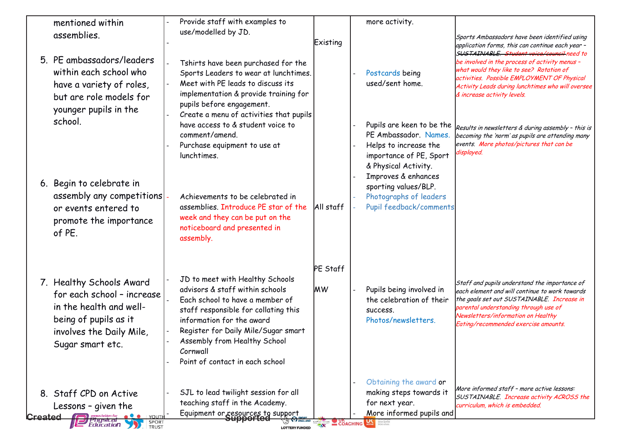| Provide staff with examples to<br>mentioned within<br>use/modelled by JD.<br>assemblies.<br>5. PE ambassadors/leaders<br>Tshirts have been purchased for the<br>within each school who<br>Sports Leaders to wear at lunchtimes.<br>Meet with PE leads to discuss its<br>have a variety of roles,<br>implementation & provide training for<br>but are role models for<br>pupils before engagement.<br>younger pupils in the<br>Create a menu of activities that pupils<br>school.<br>have access to & student voice to<br>comment/amend.<br>Purchase equipment to use at<br>lunchtimes.<br>6. Begin to celebrate in<br>assembly any competitions<br>Achievements to be celebrated in<br>assemblies. Introduce PE star of the<br>or events entered to<br>week and they can be put on the<br>promote the importance<br>noticeboard and presented in<br>of PE. | Existing              | more activity.<br>Postcards being<br>used/sent home.                                                                                                  | Sports Ambassadors have been identified using<br>application forms, this can continue each year -<br>SUSTAINABLE. Student voice/council need to<br>be involved in the process of activity menus -<br>what would they like to see? Rotation of<br>activities. Possible EMPLOYMENT OF Physical |
|------------------------------------------------------------------------------------------------------------------------------------------------------------------------------------------------------------------------------------------------------------------------------------------------------------------------------------------------------------------------------------------------------------------------------------------------------------------------------------------------------------------------------------------------------------------------------------------------------------------------------------------------------------------------------------------------------------------------------------------------------------------------------------------------------------------------------------------------------------|-----------------------|-------------------------------------------------------------------------------------------------------------------------------------------------------|----------------------------------------------------------------------------------------------------------------------------------------------------------------------------------------------------------------------------------------------------------------------------------------------|
|                                                                                                                                                                                                                                                                                                                                                                                                                                                                                                                                                                                                                                                                                                                                                                                                                                                            |                       |                                                                                                                                                       | Activity Leads during lunchtimes who will oversee<br>& increase activity levels.                                                                                                                                                                                                             |
|                                                                                                                                                                                                                                                                                                                                                                                                                                                                                                                                                                                                                                                                                                                                                                                                                                                            |                       | Pupils are keen to be the<br>PE Ambassador. Names.<br>Helps to increase the<br>importance of PE, Sport<br>& Physical Activity.<br>Improves & enhances | Results in newsletters & during assembly - this is<br>becoming the 'norm' as pupils are attending many<br>events. More photos/pictures that can be<br>displayed.                                                                                                                             |
| assembly.                                                                                                                                                                                                                                                                                                                                                                                                                                                                                                                                                                                                                                                                                                                                                                                                                                                  | All staff             | sporting values/BLP.<br>Photographs of leaders<br>Pupil feedback/comments                                                                             |                                                                                                                                                                                                                                                                                              |
| JD to meet with Healthy Schools<br>7. Healthy Schools Award<br>advisors & staff within schools<br>for each school - increase<br>Each school to have a member of<br>in the health and well-<br>staff responsible for collating this<br>being of pupils as it<br>information for the award<br>Register for Daily Mile/Sugar smart<br>involves the Daily Mile,<br>Assembly from Healthy School<br>Sugar smart etc.<br>Cornwall<br>Point of contact in each school                                                                                                                                                                                                                                                                                                                                                                                             | PE Staff<br><b>MW</b> | Pupils being involved in<br>the celebration of their<br>SUCCESS.<br>Photos/newsletters.                                                               | Staff and pupils understand the importance of<br>each element and will continue to work towards<br>the goals set out SUSTAINABLE. Increase in<br>parental understanding through use of<br>Newsletters/information on Healthy<br>Eating/recommended exercise amounts.                         |
| SJL to lead twilight session for all<br>Staff CPD on Active<br>teaching staff in the Academy.<br>Lessons - given the<br>Equipment or resources to support<br>Supported<br>Created                                                                                                                                                                                                                                                                                                                                                                                                                                                                                                                                                                                                                                                                          | COACHING              | Obtaining the award or<br>making steps towards it<br>for next year.<br>More informed pupils and                                                       | More informed staff - more active lessons:<br>SUSTAINABLE. Increase activity ACROSS the<br>curriculum, which is embedded.                                                                                                                                                                    |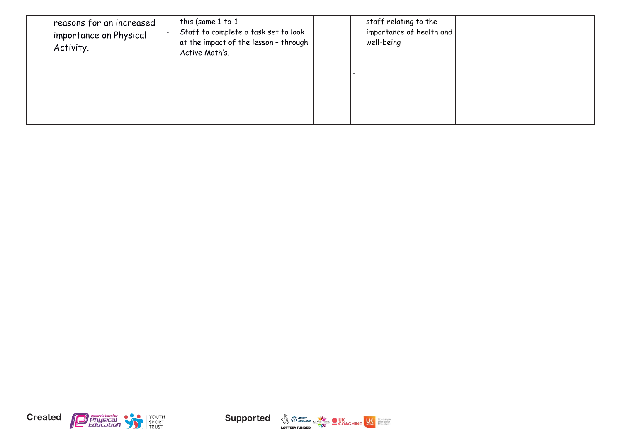| reasons for an increased<br>importance on Physical<br>Activity. | this (some 1-to-1<br>Staff to complete a task set to look<br>at the impact of the lesson - through<br>Active Math's. | staff relating to the<br>importance of health and<br>well-being |  |
|-----------------------------------------------------------------|----------------------------------------------------------------------------------------------------------------------|-----------------------------------------------------------------|--|
|                                                                 |                                                                                                                      |                                                                 |  |





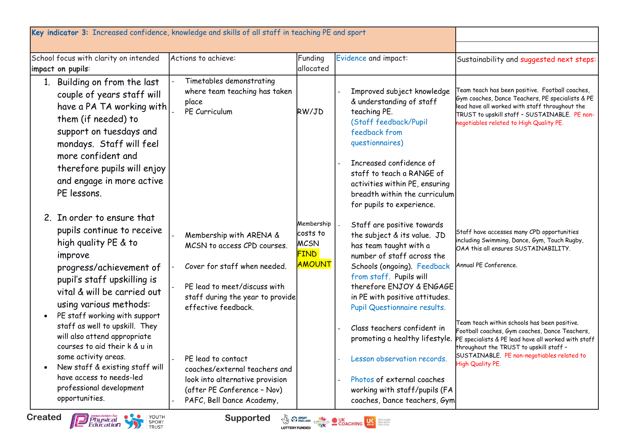| School focus with clarity on intended<br>impact on pupils:                                                                                                                                                                                      | Actions to achieve:                                                                                                                                                               | Funding<br>allocated                                                  | Evidence and impact:                                                                                                                                                                                                                                                      | Sustainability and suggested next steps:                                                                                                                                                                                                                           |
|-------------------------------------------------------------------------------------------------------------------------------------------------------------------------------------------------------------------------------------------------|-----------------------------------------------------------------------------------------------------------------------------------------------------------------------------------|-----------------------------------------------------------------------|---------------------------------------------------------------------------------------------------------------------------------------------------------------------------------------------------------------------------------------------------------------------------|--------------------------------------------------------------------------------------------------------------------------------------------------------------------------------------------------------------------------------------------------------------------|
| 1. Building on from the last<br>couple of years staff will<br>have a PA TA working with<br>them (if needed) to<br>support on tuesdays and<br>mondays. Staff will feel<br>more confident and                                                     | Timetables demonstrating<br>where team teaching has taken<br>place<br>PE Curriculum                                                                                               | RW/JD                                                                 | Improved subject knowledge<br>& understanding of staff<br>teaching PE.<br>(Staff feedback/Pupil<br>feedback from<br>questionnaires)                                                                                                                                       | Feam teach has been positive. Football coaches,<br>Gym coaches, Dance Teachers, PE specialists & PE<br>lead have all worked with staff throughout the<br>TRUST to upskill staff - SUSTAINABLE. PE non-<br>negotiables related to High Quality PE.                  |
| therefore pupils will enjoy<br>and engage in more active<br>PE lessons.                                                                                                                                                                         |                                                                                                                                                                                   |                                                                       | Increased confidence of<br>staff to teach a RANGE of<br>activities within PE, ensuring<br>breadth within the curriculum<br>for pupils to experience.                                                                                                                      |                                                                                                                                                                                                                                                                    |
| 2. In order to ensure that<br>pupils continue to receive<br>high quality PE & to<br>improve<br>progress/achievement of<br>pupil's staff upskilling is<br>vital & will be carried out<br>using various methods:<br>PE staff working with support | Membership with ARENA &<br>MCSN to access CPD courses.<br>Cover for staff when needed.<br>PE lead to meet/discuss with<br>staff during the year to provide<br>effective feedback. | Membership<br>costs to<br><b>MCSN</b><br><b>FIND</b><br><b>AMOUNT</b> | Staff are positive towards<br>the subject & its value. JD<br>has team taught with a<br>number of staff across the<br>Schools (ongoing). Feedback<br>from staff. Pupils will<br>therefore ENJOY & ENGAGE<br>in PE with positive attitudes.<br>Pupil Questionnaire results. | Staff have accesses many CPD opportunities<br>including Swimming, Dance, Gym, Touch Rugby,<br>OAA this all ensures SUSTAINABILITY.<br>Annual PE Conference.                                                                                                        |
| staff as well to upskill. They<br>will also attend appropriate<br>courses to aid their k & u in<br>some activity areas.<br>New staff & existing staff will<br>have access to needs-led<br>professional development<br>opportunities.            | PE lead to contact<br>coaches/external teachers and<br>look into alternative provision<br>(after PE Conference - Nov)<br>PAFC, Bell Dance Academy,                                |                                                                       | Class teachers confident in<br>promoting a healthy lifestyle.<br>Lesson observation records.<br>Photos of external coaches<br>working with staff/pupils (FA<br>coaches, Dance teachers, Gym                                                                               | Team teach within schools has been positive.<br>Football coaches, Gym coaches, Dance Teachers,<br>PE specialists & PE lead have all worked with staff<br>throughout the TRUST to upskill staff -<br>SUSTAINABLE. PE non-negotiables related to<br>High Quality PE. |



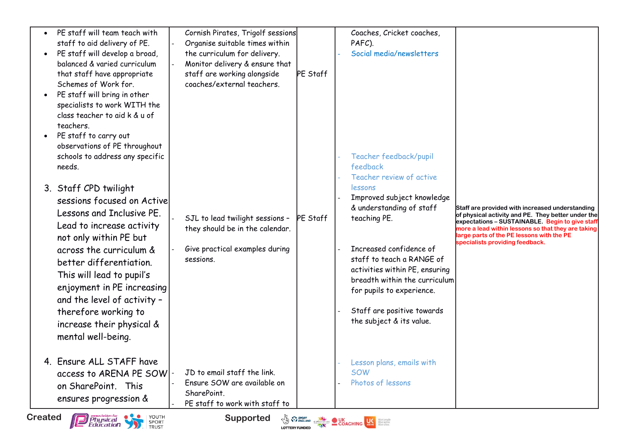| $\bullet$<br>$\bullet$ | PE staff will team teach with<br>staff to aid delivery of PE.<br>PE staff will develop a broad,<br>balanced & varied curriculum<br>that staff have appropriate<br>Schemes of Work for.<br>PE staff will bring in other<br>specialists to work WITH the<br>class teacher to aid k & u of<br>teachers.<br>PE staff to carry out<br>observations of PE throughout<br>schools to address any specific<br>needs.<br>3. Staff CPD twilight<br>sessions focused on Active<br>Lessons and Inclusive PE.<br>Lead to increase activity<br>not only within PE but<br>across the curriculum &<br>better differentiation.<br>This will lead to pupil's<br>enjoyment in PE increasing<br>and the level of activity -<br>therefore working to<br>increase their physical &<br>mental well-being. | Cornish Pirates, Trigolf sessions<br>Organise suitable times within<br>the curriculum for delivery.<br>Monitor delivery & ensure that<br>staff are working alongside<br>coaches/external teachers.<br>SJL to lead twilight sessions - PE Staff<br>they should be in the calendar.<br>Give practical examples during<br>sessions. | PE Staff | Coaches, Cricket coaches,<br>PAFC).<br>Social media/newsletters<br>Teacher feedback/pupil<br>feedback<br>Teacher review of active<br>lessons<br>Improved subject knowledge<br>& understanding of staff<br>teaching PE.<br>Increased confidence of<br>staff to teach a RANGE of<br>activities within PE, ensuring<br>breadth within the curriculum<br>for pupils to experience.<br>Staff are positive towards<br>the subject & its value. | Staff are provided with increased understanding<br>of physical activity and PE. They better under the<br>expectations - SUSTAINABLE. Begin to give staff<br>more a lead within lessons so that they are taking<br>large parts of the PE lessons with the PE<br>specialists providing feedback. |
|------------------------|-----------------------------------------------------------------------------------------------------------------------------------------------------------------------------------------------------------------------------------------------------------------------------------------------------------------------------------------------------------------------------------------------------------------------------------------------------------------------------------------------------------------------------------------------------------------------------------------------------------------------------------------------------------------------------------------------------------------------------------------------------------------------------------|----------------------------------------------------------------------------------------------------------------------------------------------------------------------------------------------------------------------------------------------------------------------------------------------------------------------------------|----------|------------------------------------------------------------------------------------------------------------------------------------------------------------------------------------------------------------------------------------------------------------------------------------------------------------------------------------------------------------------------------------------------------------------------------------------|------------------------------------------------------------------------------------------------------------------------------------------------------------------------------------------------------------------------------------------------------------------------------------------------|
|                        | 4. Ensure ALL STAFF have<br>access to ARENA PE SOW<br>on SharePoint. This<br>ensures progression &                                                                                                                                                                                                                                                                                                                                                                                                                                                                                                                                                                                                                                                                                | JD to email staff the link.<br>Ensure SOW are available on<br>SharePoint.<br>PE staff to work with staff to                                                                                                                                                                                                                      |          | Lesson plans, emails with<br><b>SOW</b><br>Photos of lessons                                                                                                                                                                                                                                                                                                                                                                             |                                                                                                                                                                                                                                                                                                |

**Supported**  $\sqrt{\frac{3}{49}}$   $\sqrt[3]{2}$  and  $\sqrt[3]{2}$  and  $\sqrt[3]{2}$  and  $\sqrt[3]{2}$  and  $\sqrt[3]{2}$ 

**by:**<br>**by:**<br>**by:** 

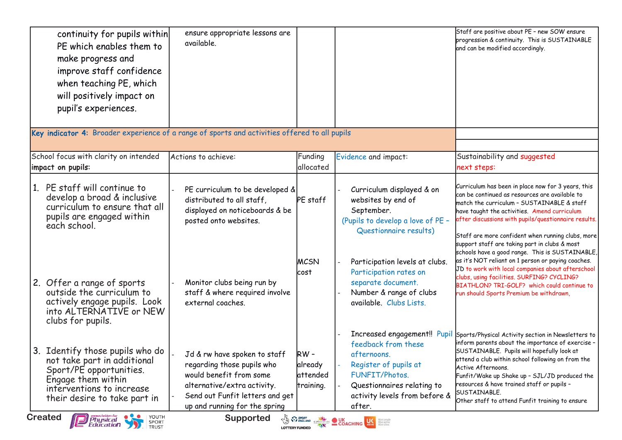| continuity for pupils within<br>PE which enables them to<br>make progress and<br>improve staff confidence<br>when teaching PE, which<br>will positively impact on<br>pupil's experiences.                                                                                            | ensure appropriate lessons are<br>available.                                                                                                                                                                        |                                                                        |                                                                                                                                                                                                                                                                      | Staff are positive about PE - new SOW ensure<br>progression & continuity. This is SUSTAINABLE<br>and can be modified accordingly.                                                                                                                                                                                                                                                                                                                                                                                                                                                                                                                                      |
|--------------------------------------------------------------------------------------------------------------------------------------------------------------------------------------------------------------------------------------------------------------------------------------|---------------------------------------------------------------------------------------------------------------------------------------------------------------------------------------------------------------------|------------------------------------------------------------------------|----------------------------------------------------------------------------------------------------------------------------------------------------------------------------------------------------------------------------------------------------------------------|------------------------------------------------------------------------------------------------------------------------------------------------------------------------------------------------------------------------------------------------------------------------------------------------------------------------------------------------------------------------------------------------------------------------------------------------------------------------------------------------------------------------------------------------------------------------------------------------------------------------------------------------------------------------|
| Key indicator 4: Broader experience of a range of sports and activities offered to all pupils<br>School focus with clarity on intended<br>impact on pupils:                                                                                                                          | Actions to achieve:                                                                                                                                                                                                 | Funding<br>allocated                                                   | Evidence and impact:                                                                                                                                                                                                                                                 | Sustainability and suggested<br>next steps:                                                                                                                                                                                                                                                                                                                                                                                                                                                                                                                                                                                                                            |
| 1. PE staff will continue to<br>develop a broad & inclusive<br>curriculum to ensure that all<br>pupils are engaged within<br>each school.<br>2. Offer a range of sports<br>outside the curriculum to<br>actively engage pupils. Look<br>into ALTERNATIVE or NEW<br>clubs for pupils. | PE curriculum to be developed &<br>distributed to all staff,<br>displayed on noticeboards & be<br>posted onto websites.<br>Monitor clubs being run by<br>staff & where required involve<br>external coaches.        | PE staff<br><b>IMCSN</b><br>lcost                                      | Curriculum displayed & on<br>websites by end of<br>September.<br>(Pupils to develop a love of PE -<br>Questionnaire results)<br>Participation levels at clubs.<br>Participation rates on<br>separate document.<br>Number & range of clubs<br>available. Clubs Lists. | Curriculum has been in place now for 3 years, this<br>can be continued as resources are available to<br>match the curriculum - SUSTAINABLE & staff<br>have taught the activities. Amend curriculum<br>after discussions with pupils/questionnaire results.<br>Staff are more confident when running clubs, more<br>support staff are taking part in clubs & most<br>schools have a good range. This is SUSTAINABLE,<br>as it's NOT reliant on 1 person or paying coaches.<br>JD to work with local companies about afterschool<br>clubs, using facilities. SURFING? CYCLING?<br>BIATHLON? TRI-GOLF? which could continue to<br>run should Sports Premium be withdrawn, |
| 3. Identify those pupils who do<br>not take part in additional<br>Sport/PE opportunities.<br>Engage them within<br>interventions to increase<br>their desire to take part in<br><b>Physical</b> Physical SPORT<br><b>Created</b>                                                     | Jd & rw have spoken to staff $\sqrt{RV}$ -<br>regarding those pupils who<br>would benefit from some<br>alternative/extra activity.<br>Send out Funfit letters and get<br>up and running for the spring<br>Supported | already<br>attended<br>training.<br><b>By PLENGLAND</b> CSPRETIVORK UK | Increased engagement!! Pupil<br>feedback from these<br>afternoons.<br>Register of pupils at<br>FUNFIT/Photos.<br>Questionnaires relating to<br>activity levels from before &<br>after.<br><b>UC Bank</b>                                                             | Sports/Physical Activity section in Newsletters to<br>inform parents about the importance of exercise -<br>SUSTAINABLE. Pupils will hopefully look at<br>attend a club within school following on from the<br>Active Afternoons.<br>Funfit/Wake up Shake up - SJL/JD produced the<br>resources & have trained staff or pupils -<br>SUSTAINABLE.<br>Other staff to attend Funfit training to ensure                                                                                                                                                                                                                                                                     |

**by:**<br>**by:**<br>**by:** 

**by:**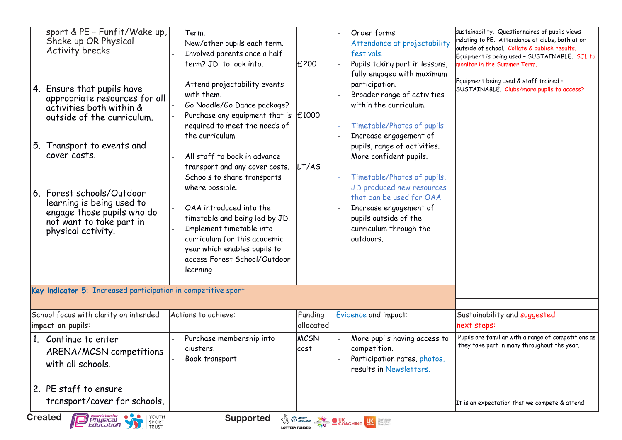| <b>Activity breaks</b><br>4. Ensure that pupils have<br>appropriate resources for all<br>activities both within &<br>outside of the curriculum.<br>5. Transport to events and<br>cover costs.<br>6. Forest schools/Outdoor<br>learning is being used to<br>engage those pupils who do<br>not want to take part in<br>physical activity. | Involved parents once a half<br>term? JD to look into.<br>Attend projectability events<br>with them.<br>Go Noodle/Go Dance package?<br>Purchase any equipment that is $\vert$ £1000<br>required to meet the needs of<br>the curriculum.<br>All staff to book in advance<br>transport and any cover costs.<br>Schools to share transports<br>where possible.<br>OAA introduced into the<br>timetable and being led by JD.<br>Implement timetable into<br>curriculum for this academic<br>year which enables pupils to<br>access Forest School/Outdoor<br>learning | £200<br>LT/AS        | festivals.<br>Pupils taking part in lessons,<br>fully engaged with maximum<br>participation.<br>Broader range of activities<br>within the curriculum.<br>Timetable/Photos of pupils<br>Increase engagement of<br>pupils, range of activities.<br>More confident pupils.<br>Timetable/Photos of pupils,<br>JD produced new resources<br>that ban be used for OAA<br>Increase engagement of<br>pupils outside of the<br>curriculum through the<br>outdoors. | outside of school. Collate & publish results.<br>Equipment is being used - SUSTAINABLE. SJL to<br>monitor in the Summer Term.<br>Equipment being used & staff trained -<br>SUSTAINABLE. Clubs/more pupils to access? |
|-----------------------------------------------------------------------------------------------------------------------------------------------------------------------------------------------------------------------------------------------------------------------------------------------------------------------------------------|------------------------------------------------------------------------------------------------------------------------------------------------------------------------------------------------------------------------------------------------------------------------------------------------------------------------------------------------------------------------------------------------------------------------------------------------------------------------------------------------------------------------------------------------------------------|----------------------|-----------------------------------------------------------------------------------------------------------------------------------------------------------------------------------------------------------------------------------------------------------------------------------------------------------------------------------------------------------------------------------------------------------------------------------------------------------|----------------------------------------------------------------------------------------------------------------------------------------------------------------------------------------------------------------------|
| Key indicator 5: Increased participation in competitive sport                                                                                                                                                                                                                                                                           |                                                                                                                                                                                                                                                                                                                                                                                                                                                                                                                                                                  |                      |                                                                                                                                                                                                                                                                                                                                                                                                                                                           |                                                                                                                                                                                                                      |
| School focus with clarity on intended<br>impact on pupils:                                                                                                                                                                                                                                                                              | Actions to achieve:                                                                                                                                                                                                                                                                                                                                                                                                                                                                                                                                              | Funding<br>allocated | Evidence and impact:                                                                                                                                                                                                                                                                                                                                                                                                                                      | Sustainability and suggested<br>next steps:                                                                                                                                                                          |
| 1. Continue to enter<br>ARENA/MCSN competitions<br>with all schools.                                                                                                                                                                                                                                                                    | Purchase membership into<br>clusters.<br>Book transport                                                                                                                                                                                                                                                                                                                                                                                                                                                                                                          | <b>MCSN</b><br>cost  | More pupils having access to<br>competition.<br>Participation rates, photos,<br>results in Newsletters.                                                                                                                                                                                                                                                                                                                                                   | Pupils are familiar with a range of competitions as<br>they take part in many throughout the year.                                                                                                                   |
| 2. PE staff to ensure                                                                                                                                                                                                                                                                                                                   |                                                                                                                                                                                                                                                                                                                                                                                                                                                                                                                                                                  |                      |                                                                                                                                                                                                                                                                                                                                                                                                                                                           |                                                                                                                                                                                                                      |

**by:**<br>**by:**<br>**by:** 

**by:**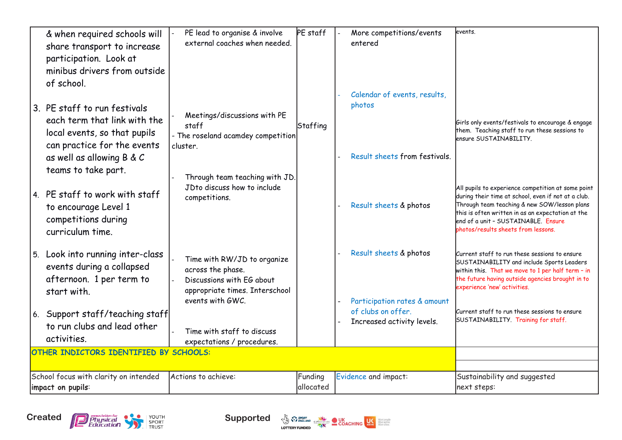| & when required schools will<br>share transport to increase                                                                 | PE lead to organise & involve<br>external coaches when needed.                                                                      | PE staff             | More competitions/events<br>entered                    | levents.                                                                                                                                                                                                                                                                                     |
|-----------------------------------------------------------------------------------------------------------------------------|-------------------------------------------------------------------------------------------------------------------------------------|----------------------|--------------------------------------------------------|----------------------------------------------------------------------------------------------------------------------------------------------------------------------------------------------------------------------------------------------------------------------------------------------|
| participation. Look at<br>minibus drivers from outside<br>of school.                                                        |                                                                                                                                     |                      | Calendar of events, results,                           |                                                                                                                                                                                                                                                                                              |
| 3. PE staff to run festivals<br>each term that link with the<br>local events, so that pupils<br>can practice for the events | Meetings/discussions with PE<br>staff<br>- The roseland acamdey competition<br>cluster.                                             | Staffing             | photos                                                 | Girls only events/festivals to encourage & engage<br>them. Teaching staff to run these sessions to<br>ensure SUSTAINABILITY.                                                                                                                                                                 |
| as well as allowing B & C<br>teams to take part.                                                                            | Through team teaching with JD.                                                                                                      |                      | Result sheets from festivals.                          |                                                                                                                                                                                                                                                                                              |
| 4. PE staff to work with staff<br>to encourage Level 1<br>competitions during<br>curriculum time.                           | JDto discuss how to include<br>competitions.                                                                                        |                      | Result sheets & photos                                 | All pupils to experience competition at some point<br>during their time at school, even if not at a club.<br>Through team teaching & new SOW/lesson plans<br>this is often written in as an expectation at the<br>end of a unit - SUSTAINABLE. Ensure<br>photos/results sheets from lessons. |
| 5. Look into running inter-class<br>events during a collapsed<br>afternoon. 1 per term to<br>start with.                    | Time with RW/JD to organize<br>across the phase.<br>Discussions with EG about<br>appropriate times. Interschool<br>events with GWC. |                      | Result sheets & photos<br>Participation rates & amount | Current staff to run these sessions to ensure<br>SUSTAINABILITY and include Sports Leaders<br>within this. That we move to 1 per half term - in<br>the future having outside agencies brought in to<br>experience 'new' activities.                                                          |
| 6. Support staff/teaching staff<br>to run clubs and lead other<br>activities.                                               | Time with staff to discuss<br>expectations / procedures.                                                                            |                      | of clubs on offer.<br>Increased activity levels.       | Current staff to run these sessions to ensure<br>SUSTAINABILITY. Training for staff.                                                                                                                                                                                                         |
| OTHER INDICTORS IDENTIFIED BY SCHOOLS:                                                                                      |                                                                                                                                     |                      |                                                        |                                                                                                                                                                                                                                                                                              |
| School focus with clarity on intended<br>impact on pupils:                                                                  | Actions to achieve:                                                                                                                 | Funding<br>allocated | Evidence and impact:                                   | Sustainability and suggested<br>next steps:                                                                                                                                                                                                                                                  |